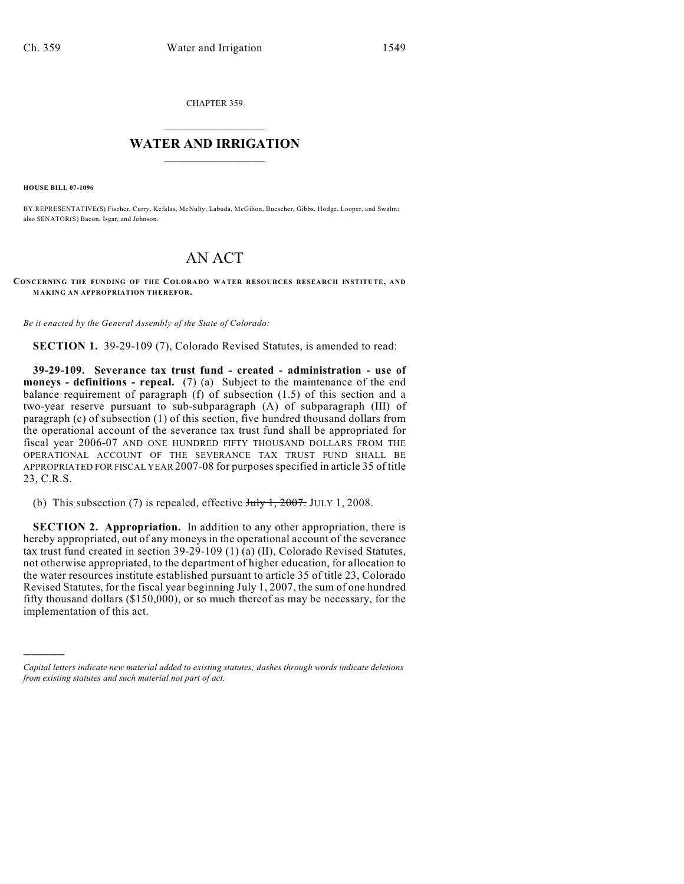CHAPTER 359

## $\mathcal{L}_\text{max}$  . The set of the set of the set of the set of the set of the set of the set of the set of the set of the set of the set of the set of the set of the set of the set of the set of the set of the set of the set **WATER AND IRRIGATION**  $\_$   $\_$

**HOUSE BILL 07-1096**

)))))

BY REPRESENTATIVE(S) Fischer, Curry, Kefalas, McNulty, Labuda, McGihon, Buescher, Gibbs, Hodge, Looper, and Swalm; also SENATOR(S) Bacon, Isgar, and Johnson.

## AN ACT

**CONCERNING THE FUNDING OF THE COLORADO WATER RESOURCES RESEARCH INSTITUTE, AND MAKING AN APPROPRIATION THEREFOR.**

*Be it enacted by the General Assembly of the State of Colorado:*

**SECTION 1.** 39-29-109 (7), Colorado Revised Statutes, is amended to read:

**39-29-109. Severance tax trust fund - created - administration - use of moneys - definitions - repeal.** (7) (a) Subject to the maintenance of the end balance requirement of paragraph (f) of subsection (1.5) of this section and a two-year reserve pursuant to sub-subparagraph (A) of subparagraph (III) of paragraph (c) of subsection (1) of this section, five hundred thousand dollars from the operational account of the severance tax trust fund shall be appropriated for fiscal year 2006-07 AND ONE HUNDRED FIFTY THOUSAND DOLLARS FROM THE OPERATIONAL ACCOUNT OF THE SEVERANCE TAX TRUST FUND SHALL BE APPROPRIATED FOR FISCAL YEAR 2007-08 for purposes specified in article 35 of title 23, C.R.S.

(b) This subsection (7) is repealed, effective  $J_{\text{uly}}$  1, 2007. JULY 1, 2008.

**SECTION 2. Appropriation.** In addition to any other appropriation, there is hereby appropriated, out of any moneys in the operational account of the severance tax trust fund created in section 39-29-109 (1) (a) (II), Colorado Revised Statutes, not otherwise appropriated, to the department of higher education, for allocation to the water resources institute established pursuant to article 35 of title 23, Colorado Revised Statutes, for the fiscal year beginning July 1, 2007, the sum of one hundred fifty thousand dollars (\$150,000), or so much thereof as may be necessary, for the implementation of this act.

*Capital letters indicate new material added to existing statutes; dashes through words indicate deletions from existing statutes and such material not part of act.*